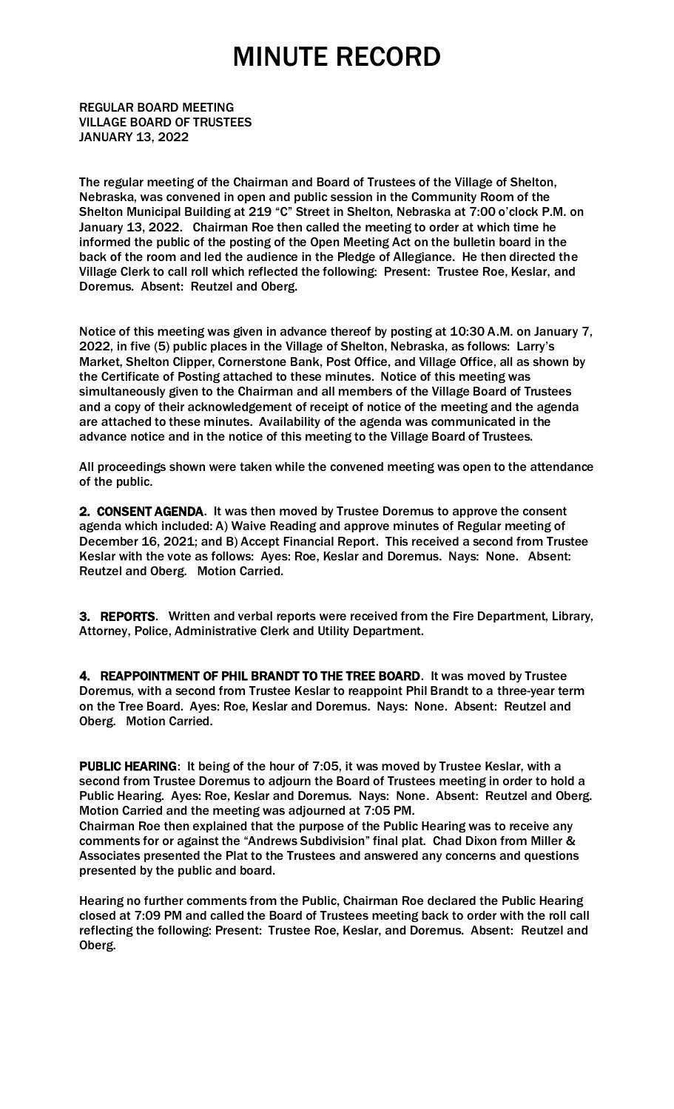REGULAR BOARD MEETING VILLAGE BOARD OF TRUSTEES JANUARY 13, 2022

The regular meeting of the Chairman and Board of Trustees of the Village of Shelton, Nebraska, was convened in open and public session in the Community Room of the Shelton Municipal Building at 219 "C" Street in Shelton, Nebraska at 7:00 o'clock P.M. on January 13, 2022. Chairman Roe then called the meeting to order at which time he informed the public of the posting of the Open Meeting Act on the bulletin board in the back of the room and led the audience in the Pledge of Allegiance. He then directed the Village Clerk to call roll which reflected the following: Present: Trustee Roe, Keslar, and Doremus. Absent: Reutzel and Oberg.

Notice of this meeting was given in advance thereof by posting at 10:30 A.M. on January 7, 2022, in five (5) public places in the Village of Shelton, Nebraska, as follows: Larry's Market, Shelton Clipper, Cornerstone Bank, Post Office, and Village Office, all as shown by the Certificate of Posting attached to these minutes. Notice of this meeting was simultaneously given to the Chairman and all members of the Village Board of Trustees and a copy of their acknowledgement of receipt of notice of the meeting and the agenda are attached to these minutes. Availability of the agenda was communicated in the advance notice and in the notice of this meeting to the Village Board of Trustees.

All proceedings shown were taken while the convened meeting was open to the attendance of the public.

2. CONSENT AGENDA. It was then moved by Trustee Doremus to approve the consent agenda which included: A) Waive Reading and approve minutes of Regular meeting of December 16, 2021; and B) Accept Financial Report. This received a second from Trustee Keslar with the vote as follows: Ayes: Roe, Keslar and Doremus. Nays: None. Absent: Reutzel and Oberg. Motion Carried.

3. REPORTS. Written and verbal reports were received from the Fire Department, Library, Attorney, Police, Administrative Clerk and Utility Department.

4. REAPPOINTMENT OF PHIL BRANDT TO THE TREE BOARD. It was moved by Trustee Doremus, with a second from Trustee Keslar to reappoint Phil Brandt to a three-year term on the Tree Board. Ayes: Roe, Keslar and Doremus. Nays: None. Absent: Reutzel and Oberg. Motion Carried.

PUBLIC HEARING: It being of the hour of 7:05, it was moved by Trustee Keslar, with a second from Trustee Doremus to adjourn the Board of Trustees meeting in order to hold a Public Hearing. Ayes: Roe, Keslar and Doremus. Nays: None. Absent: Reutzel and Oberg. Motion Carried and the meeting was adjourned at 7:05 PM.

Chairman Roe then explained that the purpose of the Public Hearing was to receive any comments for or against the "Andrews Subdivision" final plat. Chad Dixon from Miller & Associates presented the Plat to the Trustees and answered any concerns and questions presented by the public and board.

Hearing no further comments from the Public, Chairman Roe declared the Public Hearing closed at 7:09 PM and called the Board of Trustees meeting back to order with the roll call reflecting the following: Present: Trustee Roe, Keslar, and Doremus. Absent: Reutzel and Oberg.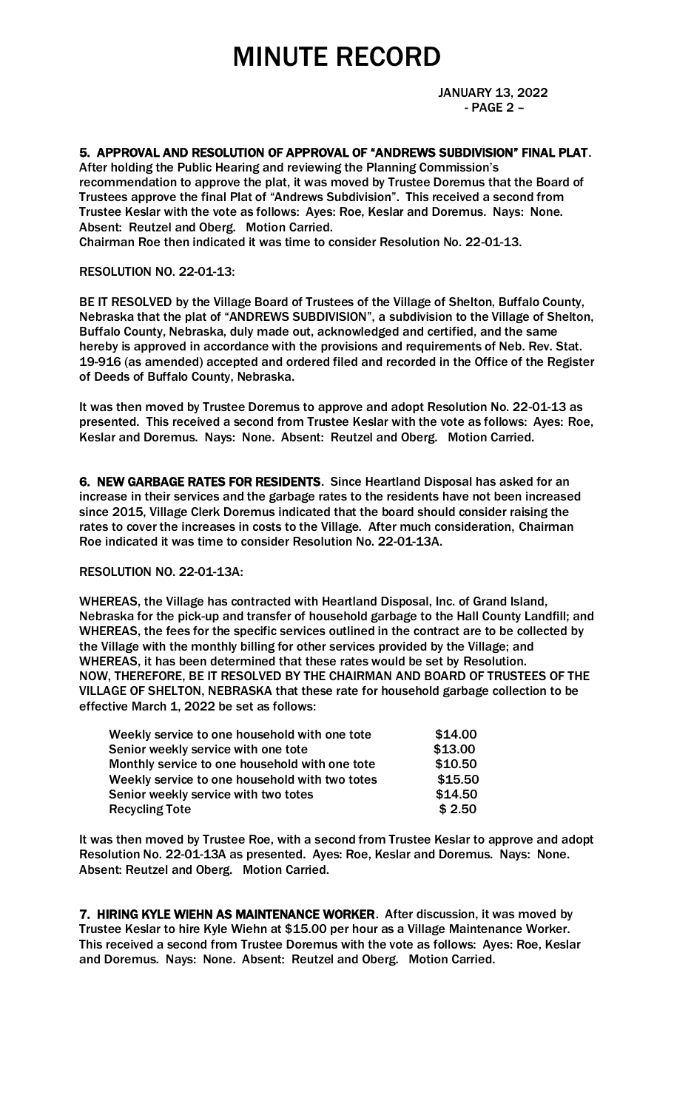JANUARY 13, 2022 - PAGE 2 –

# 5. APPROVAL AND RESOLUTION OF APPROVAL OF "ANDREWS SUBDIVISION" FINAL PLAT.

After holding the Public Hearing and reviewing the Planning Commission's recommendation to approve the plat, it was moved by Trustee Doremus that the Board of Trustees approve the final Plat of "Andrews Subdivision". This received a second from Trustee Keslar with the vote as follows: Ayes: Roe, Keslar and Doremus. Nays: None. Absent: Reutzel and Oberg. Motion Carried.

Chairman Roe then indicated it was time to consider Resolution No. 22-01-13.

## RESOLUTION NO. 22-01-13:

BE IT RESOLVED by the Village Board of Trustees of the Village of Shelton, Buffalo County, Nebraska that the plat of "ANDREWS SUBDIVISION", a subdivision to the Village of Shelton, Buffalo County, Nebraska, duly made out, acknowledged and certified, and the same hereby is approved in accordance with the provisions and requirements of Neb. Rev. Stat. 19-916 (as amended) accepted and ordered filed and recorded in the Office of the Register of Deeds of Buffalo County, Nebraska.

It was then moved by Trustee Doremus to approve and adopt Resolution No. 22-01-13 as presented. This received a second from Trustee Keslar with the vote as follows: Ayes: Roe, Keslar and Doremus. Nays: None. Absent: Reutzel and Oberg. Motion Carried.

6. NEW GARBAGE RATES FOR RESIDENTS. Since Heartland Disposal has asked for an increase in their services and the garbage rates to the residents have not been increased since 2015, Village Clerk Doremus indicated that the board should consider raising the rates to cover the increases in costs to the Village. After much consideration, Chairman Roe indicated it was time to consider Resolution No. 22-01-13A.

#### RESOLUTION NO. 22-01-13A:

WHEREAS, the Village has contracted with Heartland Disposal, Inc. of Grand Island, Nebraska for the pick-up and transfer of household garbage to the Hall County Landfill; and WHEREAS, the fees for the specific services outlined in the contract are to be collected by the Village with the monthly billing for other services provided by the Village; and WHEREAS, it has been determined that these rates would be set by Resolution. NOW, THEREFORE, BE IT RESOLVED BY THE CHAIRMAN AND BOARD OF TRUSTEES OF THE VILLAGE OF SHELTON, NEBRASKA that these rate for household garbage collection to be effective March 1, 2022 be set as follows:

| Weekly service to one household with one tote  | \$14.00 |
|------------------------------------------------|---------|
| Senior weekly service with one tote            | \$13.00 |
| Monthly service to one household with one tote | \$10.50 |
| Weekly service to one household with two totes | \$15.50 |
| Senior weekly service with two totes           | \$14.50 |
| <b>Recycling Tote</b>                          | \$2.50  |

It was then moved by Trustee Roe, with a second from Trustee Keslar to approve and adopt Resolution No. 22-01-13A as presented. Ayes: Roe, Keslar and Doremus. Nays: None. Absent: Reutzel and Oberg. Motion Carried.

7. HIRING KYLE WIEHN AS MAINTENANCE WORKER. After discussion, it was moved by Trustee Keslar to hire Kyle Wiehn at \$15.00 per hour as a Village Maintenance Worker. This received a second from Trustee Doremus with the vote as follows: Ayes: Roe, Keslar and Doremus. Nays: None. Absent: Reutzel and Oberg. Motion Carried.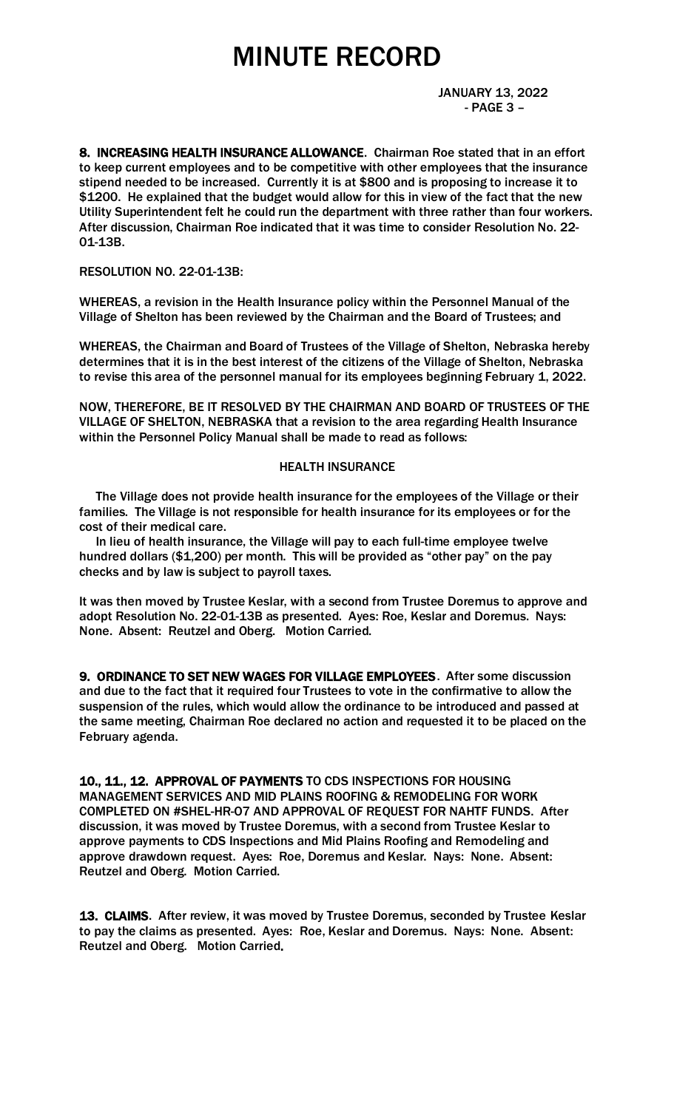JANUARY 13, 2022 - PAGE 3 –

8. INCREASING HEALTH INSURANCE ALLOWANCE. Chairman Roe stated that in an effort to keep current employees and to be competitive with other employees that the insurance stipend needed to be increased. Currently it is at \$800 and is proposing to increase it to \$1200. He explained that the budget would allow for this in view of the fact that the new Utility Superintendent felt he could run the department with three rather than four workers. After discussion, Chairman Roe indicated that it was time to consider Resolution No. 22- 01-13B.

# RESOLUTION NO. 22-01-13B:

WHEREAS, a revision in the Health Insurance policy within the Personnel Manual of the Village of Shelton has been reviewed by the Chairman and the Board of Trustees; and

WHEREAS, the Chairman and Board of Trustees of the Village of Shelton, Nebraska hereby determines that it is in the best interest of the citizens of the Village of Shelton, Nebraska to revise this area of the personnel manual for its employees beginning February 1, 2022.

NOW, THEREFORE, BE IT RESOLVED BY THE CHAIRMAN AND BOARD OF TRUSTEES OF THE VILLAGE OF SHELTON, NEBRASKA that a revision to the area regarding Health Insurance within the Personnel Policy Manual shall be made to read as follows:

#### HEALTH INSURANCE

 The Village does not provide health insurance for the employees of the Village or their families. The Village is not responsible for health insurance for its employees or for the cost of their medical care.

 In lieu of health insurance, the Village will pay to each full-time employee twelve hundred dollars (\$1,200) per month. This will be provided as "other pay" on the pay checks and by law is subject to payroll taxes.

It was then moved by Trustee Keslar, with a second from Trustee Doremus to approve and adopt Resolution No. 22-01-13B as presented. Ayes: Roe, Keslar and Doremus. Nays: None. Absent: Reutzel and Oberg. Motion Carried.

9. ORDINANCE TO SET NEW WAGES FOR VILLAGE EMPLOYEES. After some discussion and due to the fact that it required four Trustees to vote in the confirmative to allow the suspension of the rules, which would allow the ordinance to be introduced and passed at the same meeting, Chairman Roe declared no action and requested it to be placed on the February agenda.

10., 11., 12. APPROVAL OF PAYMENTS TO CDS INSPECTIONS FOR HOUSING MANAGEMENT SERVICES AND MID PLAINS ROOFING & REMODELING FOR WORK COMPLETED ON #SHEL-HR-O7 AND APPROVAL OF REQUEST FOR NAHTF FUNDS. After discussion, it was moved by Trustee Doremus, with a second from Trustee Keslar to approve payments to CDS Inspections and Mid Plains Roofing and Remodeling and approve drawdown request. Ayes: Roe, Doremus and Keslar. Nays: None. Absent: Reutzel and Oberg. Motion Carried.

13. CLAIMS. After review, it was moved by Trustee Doremus, seconded by Trustee Keslar to pay the claims as presented. Ayes: Roe, Keslar and Doremus. Nays: None. Absent: Reutzel and Oberg. Motion Carried.